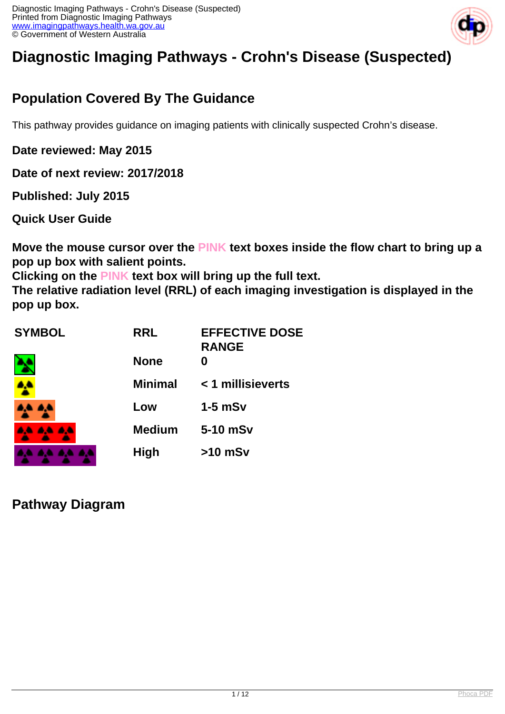

# **Diagnostic Imaging Pathways - Crohn's Disease (Suspected)**

## **Population Covered By The Guidance**

This pathway provides guidance on imaging patients with clinically suspected Crohn's disease.

**Date reviewed: May 2015**

**Date of next review: 2017/2018**

**Published: July 2015** 

**Quick User Guide**

**Move the mouse cursor over the PINK text boxes inside the flow chart to bring up a pop up box with salient points.**

**Clicking on the PINK text box will bring up the full text.**

**The relative radiation level (RRL) of each imaging investigation is displayed in the pop up box.**

| <b>SYMBOL</b> | <b>RRL</b>     | <b>EFFECTIVE DOSE</b><br><b>RANGE</b> |
|---------------|----------------|---------------------------------------|
|               | <b>None</b>    | O                                     |
|               | <b>Minimal</b> | < 1 millisieverts                     |
| .             | Low            | $1-5$ mSv                             |
| <b>AA</b>     | <b>Medium</b>  | 5-10 mSv                              |
|               | <b>High</b>    | $>10$ mSv                             |

**Pathway Diagram**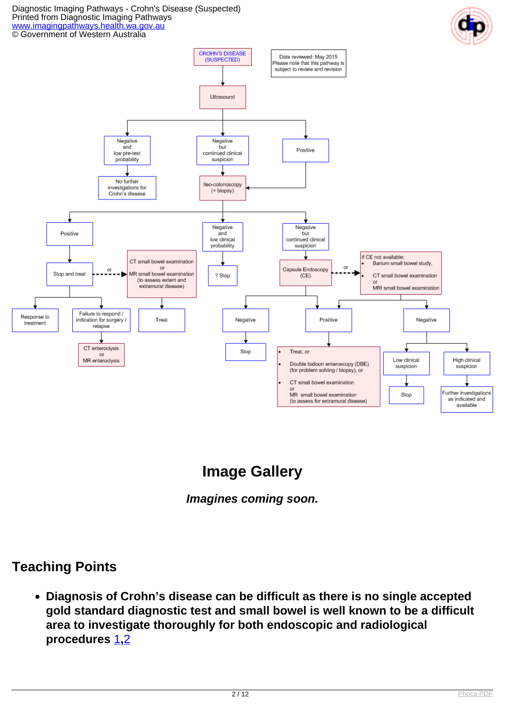#### Diagnostic Imaging Pathways - Crohn's Disease (Suspected) Printed from Diagnostic Imaging Pathways [www.imagingpathways.health.wa.gov.au](http://www.imagingpathways.health.wa.gov.au/) © Government of Western Australia



# **Image Gallery**



#### **Teaching Points**

**Diagnosis of Crohn's disease can be difficult as there is no single accepted gold standard diagnostic test and small bowel is well known to be a difficult area to investigate thoroughly for both endoscopic and radiological procedures** [1](index.php?option=com_content&view=article&id=239&tab=references#1)**,**[2](index.php?option=com_content&view=article&id=239&tab=references#2)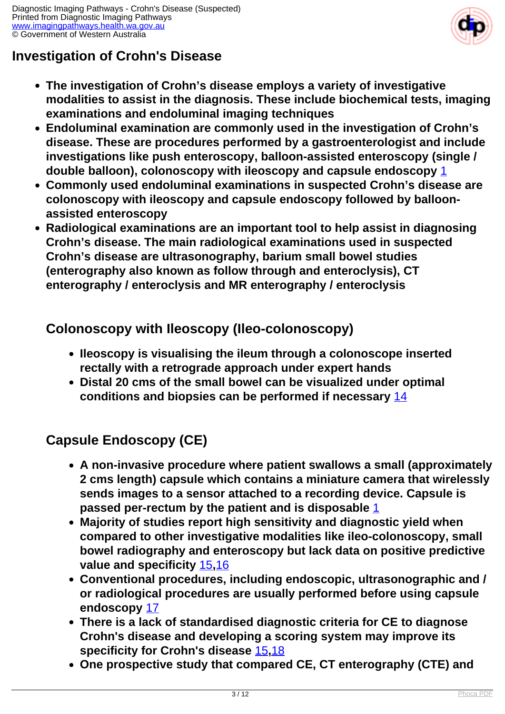

## **Investigation of Crohn's Disease**

- **The investigation of Crohn's disease employs a variety of investigative modalities to assist in the diagnosis. These include biochemical tests, imaging examinations and endoluminal imaging techniques**
- **Endoluminal examination are commonly used in the investigation of Crohn's disease. These are procedures performed by a gastroenterologist and include investigations like push enteroscopy, balloon-assisted enteroscopy (single / double balloon), colonoscopy with ileoscopy and capsule endoscopy** [1](index.php?option=com_content&view=article&id=239&tab=references#1)
- **Commonly used endoluminal examinations in suspected Crohn's disease are colonoscopy with ileoscopy and capsule endoscopy followed by balloonassisted enteroscopy**
- **Radiological examinations are an important tool to help assist in diagnosing Crohn's disease. The main radiological examinations used in suspected Crohn's disease are ultrasonography, barium small bowel studies (enterography also known as follow through and enteroclysis), CT enterography / enteroclysis and MR enterography / enteroclysis**

#### **Colonoscopy with Ileoscopy (Ileo-colonoscopy)**

- **Ileoscopy is visualising the ileum through a colonoscope inserted rectally with a retrograde approach under expert hands**
- **Distal 20 cms of the small bowel can be visualized under optimal conditions and biopsies can be performed if necessary** [14](index.php?option=com_content&view=article&id=239&tab=references#14)

### **Capsule Endoscopy (CE)**

- **A non-invasive procedure where patient swallows a small (approximately 2 cms length) capsule which contains a miniature camera that wirelessly sends images to a sensor attached to a recording device. Capsule is passed per-rectum by the patient and is disposable** [1](index.php?option=com_content&view=article&id=239&tab=references#1)
- **Majority of studies report high sensitivity and diagnostic yield when compared to other investigative modalities like ileo-colonoscopy, small bowel radiography and enteroscopy but lack data on positive predictive value and specificity** [15](index.php?option=com_content&view=article&id=239&tab=references#15)**,**[16](index.php?option=com_content&view=article&id=239&tab=references#16)
- **Conventional procedures, including endoscopic, ultrasonographic and / or radiological procedures are usually performed before using capsule endoscopy** [17](index.php?option=com_content&view=article&id=239&tab=references#17)
- **There is a lack of standardised diagnostic criteria for CE to diagnose Crohn's disease and developing a scoring system may improve its specificity for Crohn's disease** [15](index.php?option=com_content&view=article&id=239&tab=references#15)**,**[18](index.php?option=com_content&view=article&id=239&tab=references#18)
- **One prospective study that compared CE, CT enterography (CTE) and**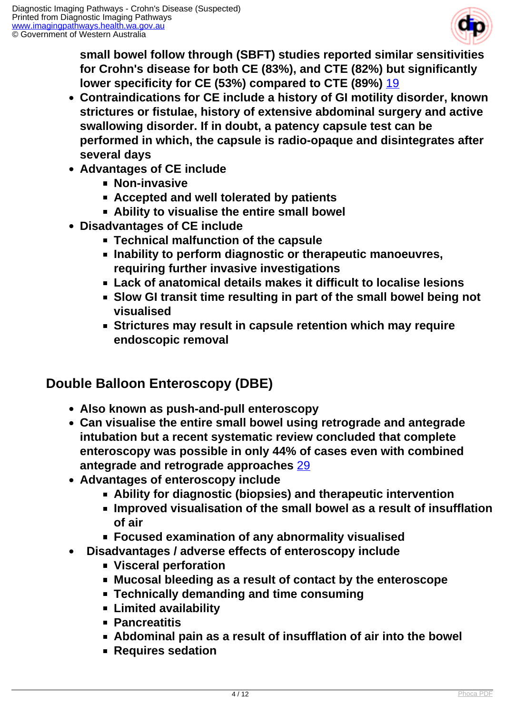

**small bowel follow through (SBFT) studies reported similar sensitivities for Crohn's disease for both CE (83%), and CTE (82%) but significantly lower specificity for CE (53%) compared to CTE (89%)** [19](index.php?option=com_content&view=article&id=239&tab=references#19)

- **Contraindications for CE include a history of GI motility disorder, known strictures or fistulae, history of extensive abdominal surgery and active swallowing disorder. If in doubt, a patency capsule test can be performed in which, the capsule is radio-opaque and disintegrates after several days**
- **Advantages of CE include**
	- **Non-invasive**
	- **Accepted and well tolerated by patients**
	- **Ability to visualise the entire small bowel**
- **Disadvantages of CE include**
	- **Technical malfunction of the capsule**
	- **Inability to perform diagnostic or therapeutic manoeuvres, requiring further invasive investigations**
	- **Lack of anatomical details makes it difficult to localise lesions**
	- **Slow GI transit time resulting in part of the small bowel being not visualised**
	- **Strictures may result in capsule retention which may require endoscopic removal**

#### **Double Balloon Enteroscopy (DBE)**

- **Also known as push-and-pull enteroscopy**
- **Can visualise the entire small bowel using retrograde and antegrade intubation but a recent systematic review concluded that complete enteroscopy was possible in only 44% of cases even with combined antegrade and retrograde approaches** [29](index.php?option=com_content&view=article&id=239&tab=references#29)
- **Advantages of enteroscopy include**
	- **Ability for diagnostic (biopsies) and therapeutic intervention**
	- **Improved visualisation of the small bowel as a result of insufflation of air**
	- **Focused examination of any abnormality visualised**
- **Disadvantages / adverse effects of enteroscopy include**
	- **Visceral perforation**
	- **Mucosal bleeding as a result of contact by the enteroscope**
	- **Technically demanding and time consuming**
	- **Limited availability**
	- **Pancreatitis**
	- **Abdominal pain as a result of insufflation of air into the bowel**
	- **Requires sedation**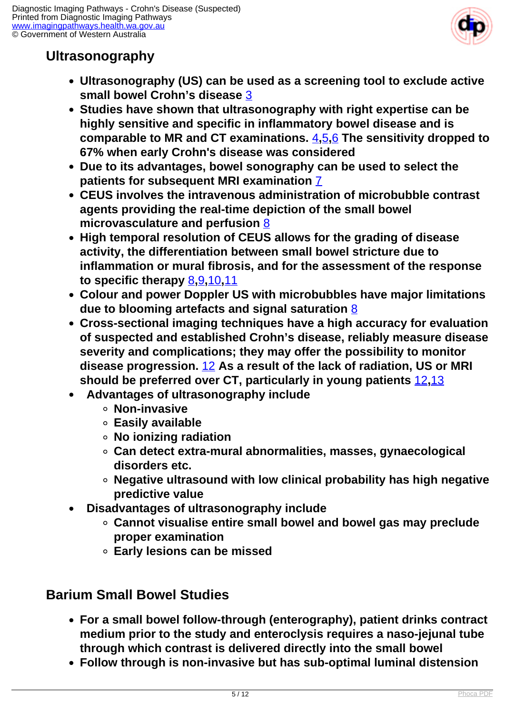

## **Ultrasonography**

- **Ultrasonography (US) can be used as a screening tool to exclude active small bowel Crohn's disease** [3](index.php?option=com_content&view=article&id=239&tab=references#3)
- **Studies have shown that ultrasonography with right expertise can be highly sensitive and specific in inflammatory bowel disease and is comparable to MR and CT examinations.** [4](index.php?option=com_content&view=article&id=239&tab=references#4)**,**[5](index.php?option=com_content&view=article&id=239&tab=references#5)**,**[6](index.php?option=com_content&view=article&id=239&tab=references#6) **The sensitivity dropped to 67% when early Crohn's disease was considered**
- **Due to its advantages, bowel sonography can be used to select the patients for subsequent MRI examination** [7](index.php?option=com_content&view=article&id=239&tab=references#7)
- **CEUS involves the intravenous administration of microbubble contrast agents providing the real-time depiction of the small bowel microvasculature and perfusion** [8](index.php?option=com_content&view=article&id=239&tab=references#8)
- **High temporal resolution of CEUS allows for the grading of disease activity, the differentiation between small bowel stricture due to inflammation or mural fibrosis, and for the assessment of the response to specific therapy** [8](index.php?option=com_content&view=article&id=239&tab=references#8)**,**[9](index.php?option=com_content&view=article&id=239&tab=references#9)**,**[10](index.php?option=com_content&view=article&id=239&tab=references#10)**,**[11](index.php?option=com_content&view=article&id=239&tab=references#11)
- **Colour and power Doppler US with microbubbles have major limitations due to blooming artefacts and signal saturation** [8](index.php?option=com_content&view=article&id=239&tab=references#8)
- **Cross-sectional imaging techniques have a high accuracy for evaluation of suspected and established Crohn's disease, reliably measure disease severity and complications; they may offer the possibility to monitor disease progression.** [12](index.php?option=com_content&view=article&id=239&tab=references#12) **As a result of the lack of radiation, US or MRI should be preferred over CT, particularly in young patients** [12](index.php?option=com_content&view=article&id=239&tab=references#12)**,**[13](index.php?option=com_content&view=article&id=239&tab=references#13)
- **Advantages of ultrasonography include**
	- **Non-invasive**
	- **Easily available**
	- **No ionizing radiation**
	- **Can detect extra-mural abnormalities, masses, gynaecological disorders etc.**
	- **Negative ultrasound with low clinical probability has high negative predictive value**
- **Disadvantages of ultrasonography include**  $\bullet$ 
	- **Cannot visualise entire small bowel and bowel gas may preclude proper examination**
	- **Early lesions can be missed**

### **Barium Small Bowel Studies**

- **For a small bowel follow-through (enterography), patient drinks contract medium prior to the study and enteroclysis requires a naso-jejunal tube through which contrast is delivered directly into the small bowel**
- **Follow through is non-invasive but has sub-optimal luminal distension**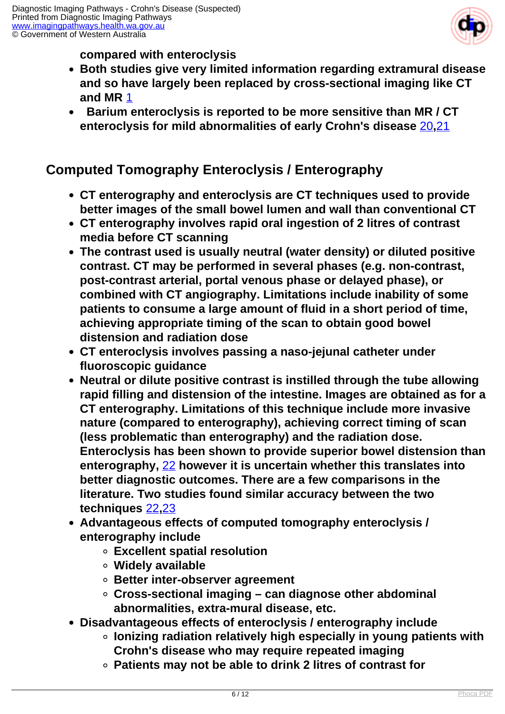

**compared with enteroclysis**

- **Both studies give very limited information regarding extramural disease and so have largely been replaced by cross-sectional imaging like CT and MR** [1](index.php?option=com_content&view=article&id=239&tab=references#1)
- **Barium enteroclysis is reported to be more sensitive than MR / CT enteroclysis for mild abnormalities of early Crohn's disease** [20](index.php?option=com_content&view=article&id=239&tab=references#20)**,**[21](index.php?option=com_content&view=article&id=239&tab=references#21)

#### **Computed Tomography Enteroclysis / Enterography**

- **CT enterography and enteroclysis are CT techniques used to provide better images of the small bowel lumen and wall than conventional CT**
- **CT enterography involves rapid oral ingestion of 2 litres of contrast media before CT scanning**
- **The contrast used is usually neutral (water density) or diluted positive contrast. CT may be performed in several phases (e.g. non-contrast, post-contrast arterial, portal venous phase or delayed phase), or combined with CT angiography. Limitations include inability of some patients to consume a large amount of fluid in a short period of time, achieving appropriate timing of the scan to obtain good bowel distension and radiation dose**
- **CT enteroclysis involves passing a naso-jejunal catheter under fluoroscopic guidance**
- **Neutral or dilute positive contrast is instilled through the tube allowing rapid filling and distension of the intestine. Images are obtained as for a CT enterography. Limitations of this technique include more invasive nature (compared to enterography), achieving correct timing of scan (less problematic than enterography) and the radiation dose. Enteroclysis has been shown to provide superior bowel distension than enterography,** [22](index.php?option=com_content&view=article&id=239&tab=references#22) **however it is uncertain whether this translates into better diagnostic outcomes. There are a few comparisons in the literature. Two studies found similar accuracy between the two techniques** [22](index.php?option=com_content&view=article&id=239&tab=references#22)**,**[23](index.php?option=com_content&view=article&id=239&tab=references#23)
- **Advantageous effects of computed tomography enteroclysis / enterography include**
	- **Excellent spatial resolution**
	- **Widely available**
	- **Better inter-observer agreement**
	- **Cross-sectional imaging can diagnose other abdominal abnormalities, extra-mural disease, etc.**
- **Disadvantageous effects of enteroclysis / enterography include**
	- **Ionizing radiation relatively high especially in young patients with Crohn's disease who may require repeated imaging**
		- **Patients may not be able to drink 2 litres of contrast for**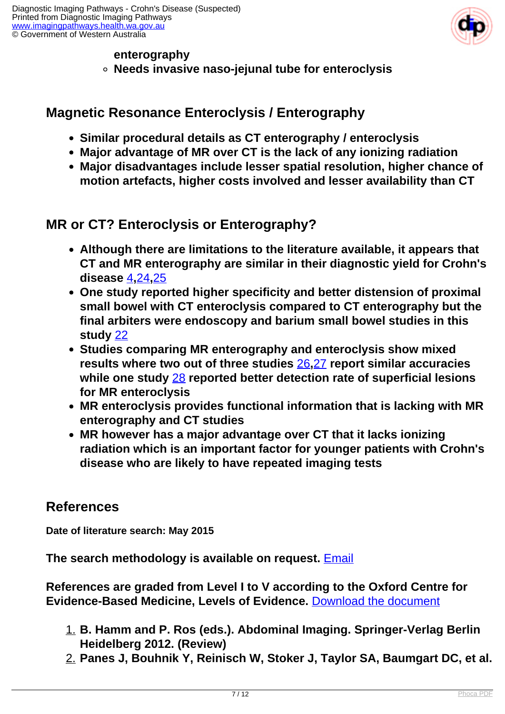

#### **enterography**

**Needs invasive naso-jejunal tube for enteroclysis**

#### **Magnetic Resonance Enteroclysis / Enterography**

- **Similar procedural details as CT enterography / enteroclysis**
- **Major advantage of MR over CT is the lack of any ionizing radiation**
- **Major disadvantages include lesser spatial resolution, higher chance of motion artefacts, higher costs involved and lesser availability than CT**

#### **MR or CT? Enteroclysis or Enterography?**

- **Although there are limitations to the literature available, it appears that CT and MR enterography are similar in their diagnostic yield for Crohn's disease** [4](index.php?option=com_content&view=article&id=239&tab=references#4)**,**[24](index.php?option=com_content&view=article&id=239&tab=references#24)**,**[25](index.php?option=com_content&view=article&id=239&tab=references#25)
- **One study reported higher specificity and better distension of proximal small bowel with CT enteroclysis compared to CT enterography but the final arbiters were endoscopy and barium small bowel studies in this study** [22](index.php?option=com_content&view=article&id=239&tab=references#22)
- **Studies comparing MR enterography and enteroclysis show mixed results where two out of three studies** [26](index.php?option=com_content&view=article&id=239&tab=references#26)**,**[27](index.php?option=com_content&view=article&id=239&tab=references#27) **report similar accuracies while one study** [28](index.php?option=com_content&view=article&id=239&tab=references#28) **reported better detection rate of superficial lesions for MR enteroclysis**
- **MR enteroclysis provides functional information that is lacking with MR enterography and CT studies**
- **MR however has a major advantage over CT that it lacks ionizing radiation which is an important factor for younger patients with Crohn's disease who are likely to have repeated imaging tests**

#### **References**

**Date of literature search: May 2015**

**The search methodology is available on request.** [Email](index.php/contact-us)

**References are graded from Level I to V according to the Oxford Centre for Evidence-Based Medicine, Levels of Evidence.** [Download the document](http://www.cebm.net/wp-content/uploads/2014/06/CEBM-Levels-of-Evidence-2.1.pdf)

- 1. **B. Hamm and P. Ros (eds.). Abdominal Imaging. Springer-Verlag Berlin Heidelberg 2012. (Review)**
- 2. **Panes J, Bouhnik Y, Reinisch W, Stoker J, Taylor SA, Baumgart DC, et al.**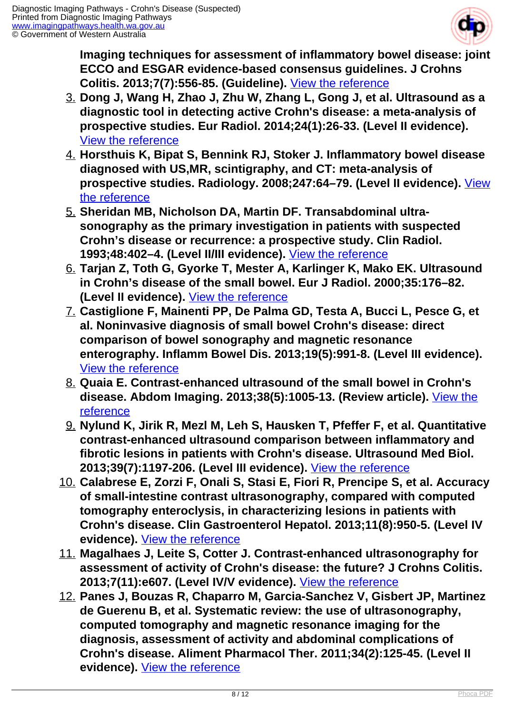

**Imaging techniques for assessment of inflammatory bowel disease: joint ECCO and ESGAR evidence-based consensus guidelines. J Crohns Colitis. 2013;7(7):556-85. (Guideline).** [View the reference](http://www.ncbi.nlm.nih.gov/pubmed/23583097)

- 3. **Dong J, Wang H, Zhao J, Zhu W, Zhang L, Gong J, et al. Ultrasound as a diagnostic tool in detecting active Crohn's disease: a meta-analysis of prospective studies. Eur Radiol. 2014;24(1):26-33. (Level II evidence).**  [View the reference](http://www.ncbi.nlm.nih.gov/pubmed/23921767)
- 4. **Horsthuis K, Bipat S, Bennink RJ, Stoker J. Inflammatory bowel disease diagnosed with US,MR, scintigraphy, and CT: meta-analysis of prospective studies. Radiology. 2008;247:64–79. (Level II evidence).** [View](http://www.ncbi.nlm.nih.gov/pubmed/18372465) [the reference](http://www.ncbi.nlm.nih.gov/pubmed/18372465)
- 5. **Sheridan MB, Nicholson DA, Martin DF. Transabdominal ultrasonography as the primary investigation in patients with suspected Crohn's disease or recurrence: a prospective study. Clin Radiol. 1993;48:402–4. (Level II/III evidence).** [View the reference](http://www.ncbi.nlm.nih.gov/pubmed/8293646)
- 6. **Tarjan Z, Toth G, Gyorke T, Mester A, Karlinger K, Mako EK. Ultrasound in Crohn's disease of the small bowel. Eur J Radiol. 2000;35:176–82. (Level II evidence).** [View the reference](http://www.ncbi.nlm.nih.gov/pubmed/11000560)
- 7. **Castiglione F, Mainenti PP, De Palma GD, Testa A, Bucci L, Pesce G, et al. Noninvasive diagnosis of small bowel Crohn's disease: direct comparison of bowel sonography and magnetic resonance enterography. Inflamm Bowel Dis. 2013;19(5):991-8. (Level III evidence).**  [View the reference](http://www.ncbi.nlm.nih.gov/pubmed/23429465)
- 8. **Quaia E. Contrast-enhanced ultrasound of the small bowel in Crohn's disease. Abdom Imaging. 2013;38(5):1005-13. (Review article).** [View the](http://www.ncbi.nlm.nih.gov/pubmed/23728306) [reference](http://www.ncbi.nlm.nih.gov/pubmed/23728306)
- 9. **Nylund K, Jirik R, Mezl M, Leh S, Hausken T, Pfeffer F, et al. Quantitative contrast-enhanced ultrasound comparison between inflammatory and fibrotic lesions in patients with Crohn's disease. Ultrasound Med Biol. 2013;39(7):1197-206. (Level III evidence).** [View the reference](http://www.ncbi.nlm.nih.gov/pubmed/23643057)
- 10. **Calabrese E, Zorzi F, Onali S, Stasi E, Fiori R, Prencipe S, et al. Accuracy of small-intestine contrast ultrasonography, compared with computed tomography enteroclysis, in characterizing lesions in patients with Crohn's disease. Clin Gastroenterol Hepatol. 2013;11(8):950-5. (Level IV evidence).** [View the reference](http://www.ncbi.nlm.nih.gov/pubmed/23375998)
- 11. **Magalhaes J, Leite S, Cotter J. Contrast-enhanced ultrasonography for assessment of activity of Crohn's disease: the future? J Crohns Colitis. 2013;7(11):e607. (Level IV/V evidence).** [View the reference](http://www.ncbi.nlm.nih.gov/pubmed/23871411)
- 12. **Panes J, Bouzas R, Chaparro M, Garcia-Sanchez V, Gisbert JP, Martinez de Guerenu B, et al. Systematic review: the use of ultrasonography, computed tomography and magnetic resonance imaging for the diagnosis, assessment of activity and abdominal complications of Crohn's disease. Aliment Pharmacol Ther. 2011;34(2):125-45. (Level II evidence).** [View the reference](http://www.ncbi.nlm.nih.gov/pubmed/21615440)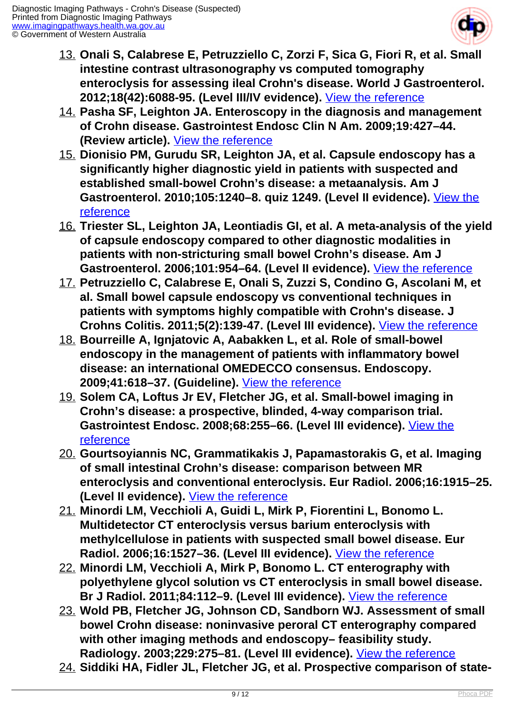

- 13. **Onali S, Calabrese E, Petruzziello C, Zorzi F, Sica G, Fiori R, et al. Small intestine contrast ultrasonography vs computed tomography enteroclysis for assessing ileal Crohn's disease. World J Gastroenterol. 2012;18(42):6088-95. (Level III/IV evidence).** [View the reference](http://www.ncbi.nlm.nih.gov/pubmed/23155337)
- 14. **Pasha SF, Leighton JA. Enteroscopy in the diagnosis and management of Crohn disease. Gastrointest Endosc Clin N Am. 2009;19:427–44. (Review article).** [View the reference](http://www.ncbi.nlm.nih.gov/pubmed/19647650)
- 15. **Dionisio PM, Gurudu SR, Leighton JA, et al. Capsule endoscopy has a significantly higher diagnostic yield in patients with suspected and established small-bowel Crohn's disease: a metaanalysis. Am J Gastroenterol. 2010;105:1240–8. quiz 1249. (Level II evidence).** [View the](http://www.ncbi.nlm.nih.gov/pubmed/20029412) [reference](http://www.ncbi.nlm.nih.gov/pubmed/20029412)
- 16. **Triester SL, Leighton JA, Leontiadis GI, et al. A meta-analysis of the yield of capsule endoscopy compared to other diagnostic modalities in patients with non-stricturing small bowel Crohn's disease. Am J Gastroenterol. 2006;101:954–64. (Level II evidence).** [View the reference](http://www.ncbi.nlm.nih.gov/pubmed/16696781)
- 17. **Petruzziello C, Calabrese E, Onali S, Zuzzi S, Condino G, Ascolani M, et al. Small bowel capsule endoscopy vs conventional techniques in patients with symptoms highly compatible with Crohn's disease. J Crohns Colitis. 2011;5(2):139-47. (Level III evidence).** [View the reference](http://www.ncbi.nlm.nih.gov/pubmed/21453883)
- 18. **Bourreille A, Ignjatovic A, Aabakken L, et al. Role of small-bowel endoscopy in the management of patients with inflammatory bowel disease: an international OMEDECCO consensus. Endoscopy. 2009;41:618–37. (Guideline).** [View the reference](http://www.ncbi.nlm.nih.gov/pubmed/19588292)
- 19. **Solem CA, Loftus Jr EV, Fletcher JG, et al. Small-bowel imaging in Crohn's disease: a prospective, blinded, 4-way comparison trial. Gastrointest Endosc. 2008;68:255–66. (Level III evidence).** [View the](http://www.ncbi.nlm.nih.gov/pubmed/18513722) [reference](http://www.ncbi.nlm.nih.gov/pubmed/18513722)
- 20. **Gourtsoyiannis NC, Grammatikakis J, Papamastorakis G, et al. Imaging of small intestinal Crohn's disease: comparison between MR enteroclysis and conventional enteroclysis. Eur Radiol. 2006;16:1915–25. (Level II evidence).** [View the reference](http://www.ncbi.nlm.nih.gov/pubmed/16673093)
- 21. **Minordi LM, Vecchioli A, Guidi L, Mirk P, Fiorentini L, Bonomo L. Multidetector CT enteroclysis versus barium enteroclysis with methylcellulose in patients with suspected small bowel disease. Eur Radiol. 2006;16:1527–36. (Level III evidence).** [View the reference](http://www.ncbi.nlm.nih.gov/pubmed/16552508)
- 22. **Minordi LM, Vecchioli A, Mirk P, Bonomo L. CT enterography with polyethylene glycol solution vs CT enteroclysis in small bowel disease. Br J Radiol. 2011;84:112–9. (Level III evidence).** [View the reference](http://www.ncbi.nlm.nih.gov/pubmed/20959377)
- 23. **Wold PB, Fletcher JG, Johnson CD, Sandborn WJ. Assessment of small bowel Crohn disease: noninvasive peroral CT enterography compared with other imaging methods and endoscopy– feasibility study. Radiology. 2003;229:275–81. (Level III evidence).** [View the reference](http://www.ncbi.nlm.nih.gov/pubmed/12944602)
- 24. **Siddiki HA, Fidler JL, Fletcher JG, et al. Prospective comparison of state-**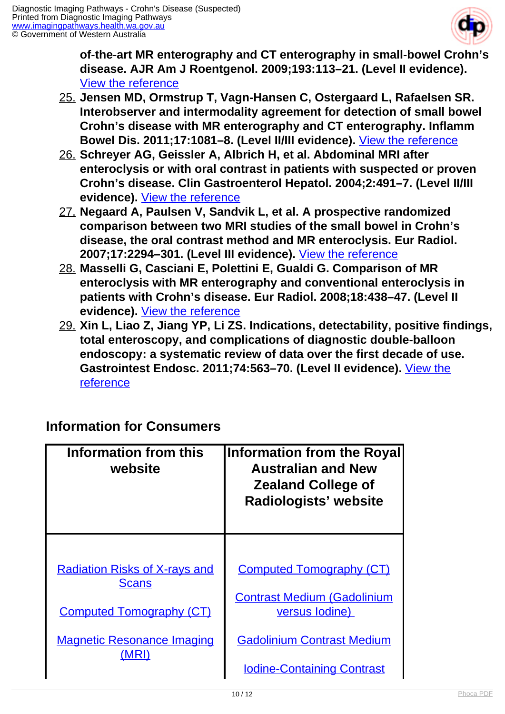

**of-the-art MR enterography and CT enterography in small-bowel Crohn's disease. AJR Am J Roentgenol. 2009;193:113–21. (Level II evidence).**  [View the reference](http://www.ncbi.nlm.nih.gov/pubmed/19542402)

- 25. **Jensen MD, Ormstrup T, Vagn-Hansen C, Ostergaard L, Rafaelsen SR. Interobserver and intermodality agreement for detection of small bowel Crohn's disease with MR enterography and CT enterography. Inflamm Bowel Dis. 2011;17:1081–8. (Level II/III evidence).** [View the reference](http://www.ncbi.nlm.nih.gov/pubmed/21484959)
- 26. **Schreyer AG, Geissler A, Albrich H, et al. Abdominal MRI after enteroclysis or with oral contrast in patients with suspected or proven Crohn's disease. Clin Gastroenterol Hepatol. 2004;2:491–7. (Level II/III evidence).** [View the reference](http://www.ncbi.nlm.nih.gov/pubmed/15181618)
- 27. **Negaard A, Paulsen V, Sandvik L, et al. A prospective randomized comparison between two MRI studies of the small bowel in Crohn's disease, the oral contrast method and MR enteroclysis. Eur Radiol. 2007;17:2294–301. (Level III evidence).** [View the reference](http://www.ncbi.nlm.nih.gov/pubmed/17483955)
- 28. **Masselli G, Casciani E, Polettini E, Gualdi G. Comparison of MR enteroclysis with MR enterography and conventional enteroclysis in patients with Crohn's disease. Eur Radiol. 2008;18:438–47. (Level II evidence).** [View the reference](http://www.ncbi.nlm.nih.gov/pubmed/17899102)
- 29. **Xin L, Liao Z, Jiang YP, Li ZS. Indications, detectability, positive findings, total enteroscopy, and complications of diagnostic double-balloon endoscopy: a systematic review of data over the first decade of use. Gastrointest Endosc. 2011;74:563–70. (Level II evidence).** [View the](http://www.ncbi.nlm.nih.gov/pubmed/21620401) [reference](http://www.ncbi.nlm.nih.gov/pubmed/21620401)

#### **Information for Consumers**

| <b>Information from this</b><br>website | Information from the Royal<br><b>Australian and New</b><br><b>Zealand College of</b><br>Radiologists' website |
|-----------------------------------------|---------------------------------------------------------------------------------------------------------------|
| <b>Radiation Risks of X-rays and</b>    | <b>Computed Tomography (CT)</b>                                                                               |
| <b>Scans</b>                            | <b>Contrast Medium (Gadolinium</b>                                                                            |
| <b>Computed Tomography (CT)</b>         | versus lodine)                                                                                                |
| <b>Magnetic Resonance Imaging</b>       | <b>Gadolinium Contrast Medium</b>                                                                             |
| (MRI)                                   | <b>Iodine-Containing Contrast</b>                                                                             |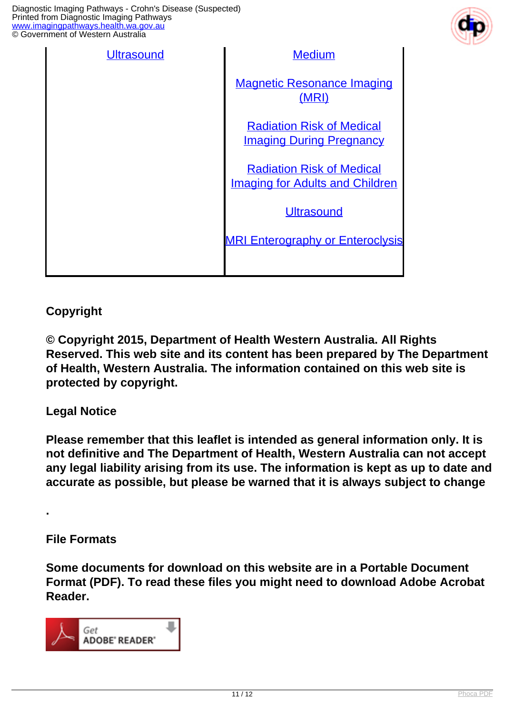Diagnostic Imaging Pathways - Crohn's Disease (Suspected) Printed from Diagnostic Imaging Pathways [www.imagingpathways.health.wa.gov.au](http://www.imagingpathways.health.wa.gov.au/) © Government of Western Australia



| <b>Ultrasound</b> | <b>Medium</b>                                                              |
|-------------------|----------------------------------------------------------------------------|
|                   | <b>Magnetic Resonance Imaging</b><br>(MRI)                                 |
|                   | <b>Radiation Risk of Medical</b><br><b>Imaging During Pregnancy</b>        |
|                   | <b>Radiation Risk of Medical</b><br><b>Imaging for Adults and Children</b> |
|                   | <b>Ultrasound</b>                                                          |
|                   | <b>MRI Enterography or Enteroclysis</b>                                    |
|                   |                                                                            |

#### **Copyright**

**© Copyright 2015, Department of Health Western Australia. All Rights Reserved. This web site and its content has been prepared by The Department of Health, Western Australia. The information contained on this web site is protected by copyright.**

#### **Legal Notice**

**Please remember that this leaflet is intended as general information only. It is not definitive and The Department of Health, Western Australia can not accept any legal liability arising from its use. The information is kept as up to date and accurate as possible, but please be warned that it is always subject to change**

#### **File Formats**

**.** 

**Some documents for download on this website are in a Portable Document Format (PDF). To read these files you might need to download Adobe Acrobat Reader.**